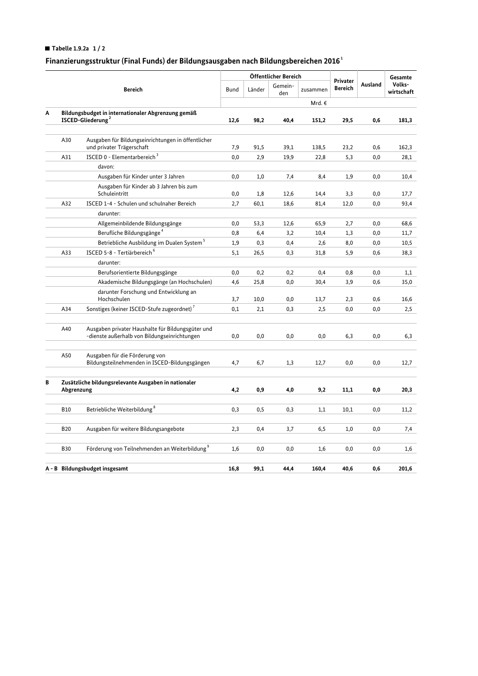## Tabelle 1.9.2a  $1/2$

## Finanzierungsstruktur (Final Funds) der Bildungsausgaben nach Bildungsbereichen 2016 $^{\rm 1}$

|                                |                                                                                     |                                                                                                   |             | Öffentlicher Bereich |                |          |                            |         | Gesamte              |
|--------------------------------|-------------------------------------------------------------------------------------|---------------------------------------------------------------------------------------------------|-------------|----------------------|----------------|----------|----------------------------|---------|----------------------|
|                                | <b>Bereich</b>                                                                      |                                                                                                   | <b>Bund</b> | Länder               | Gemein-<br>den | zusammen | Privater<br><b>Bereich</b> | Ausland | Volks-<br>wirtschaft |
|                                |                                                                                     |                                                                                                   |             |                      |                | Mrd. €   |                            |         |                      |
| Α                              | Bildungsbudget in internationaler Abgrenzung gemäß<br>ISCED-Gliederung <sup>2</sup> |                                                                                                   | 12,6        | 98,2                 | 40,4           | 151,2    | 29,5                       | 0,6     | 181,3                |
|                                |                                                                                     |                                                                                                   |             |                      |                |          |                            |         |                      |
|                                | A30                                                                                 | Ausgaben für Bildungseinrichtungen in öffentlicher<br>und privater Trägerschaft                   | 7,9         | 91,5                 | 39,1           | 138,5    | 23,2                       | 0,6     | 162,3                |
|                                | A31                                                                                 | ISCED 0 - Elementarbereich <sup>3</sup>                                                           | 0,0         | 2,9                  | 19,9           | 22,8     | 5,3                        | 0,0     | 28,1                 |
|                                |                                                                                     | davon:                                                                                            |             |                      |                |          |                            |         |                      |
|                                |                                                                                     | Ausgaben für Kinder unter 3 Jahren                                                                | 0,0         | 1,0                  | 7,4            | 8,4      | 1,9                        | 0,0     | 10,4                 |
|                                |                                                                                     | Ausgaben für Kinder ab 3 Jahren bis zum<br>Schuleintritt                                          | 0,0         | 1,8                  | 12,6           | 14,4     | 3,3                        | 0,0     | 17,7                 |
|                                | A32                                                                                 | ISCED 1-4 - Schulen und schulnaher Bereich                                                        | 2,7         | 60,1                 | 18,6           | 81,4     | 12,0                       | 0,0     | 93,4                 |
|                                |                                                                                     | darunter:                                                                                         |             |                      |                |          |                            |         |                      |
|                                |                                                                                     | Allgemeinbildende Bildungsgänge                                                                   | 0,0         | 53,3                 | 12,6           | 65,9     | 2,7                        | 0,0     | 68,6                 |
|                                |                                                                                     | Berufliche Bildungsgänge <sup>4</sup>                                                             | 0,8         | 6,4                  | 3,2            | 10,4     | 1,3                        | 0,0     | 11,7                 |
|                                |                                                                                     | Betriebliche Ausbildung im Dualen System <sup>5</sup>                                             | 1,9         | 0,3                  | 0,4            | 2,6      | 8,0                        | 0,0     | 10,5                 |
|                                | A33                                                                                 | ISCED 5-8 - Tertiärbereich <sup>6</sup>                                                           | 5,1         | 26,5                 | 0,3            | 31,8     | 5,9                        | 0,6     | 38,3                 |
|                                |                                                                                     | darunter:                                                                                         |             |                      |                |          |                            |         |                      |
|                                |                                                                                     | Berufsorientierte Bildungsgänge                                                                   | 0,0         | 0,2                  | 0,2            | 0,4      | 0,8                        | 0,0     | 1,1                  |
|                                |                                                                                     | Akademische Bildungsgänge (an Hochschulen)                                                        | 4,6         | 25,8                 | 0,0            | 30,4     | 3,9                        | 0,6     | 35,0                 |
|                                |                                                                                     | darunter Forschung und Entwicklung an                                                             |             |                      |                |          |                            |         |                      |
|                                |                                                                                     | Hochschulen                                                                                       | 3,7         | 10,0                 | 0,0            | 13,7     | 2,3                        | 0,6     | 16,6                 |
|                                | A34                                                                                 | Sonstiges (keiner ISCED-Stufe zugeordnet) <sup>7</sup>                                            | 0,1         | 2,1                  | 0,3            | 2,5      | 0,0                        | 0,0     | 2,5                  |
|                                | A40                                                                                 | Ausgaben privater Haushalte für Bildungsgüter und<br>-dienste außerhalb von Bildungseinrichtungen | $_{0,0}$    | 0,0                  | 0,0            | 0,0      | 6,3                        | 0,0     | 6,3                  |
|                                | A50                                                                                 | Ausgaben für die Förderung von<br>Bildungsteilnehmenden in ISCED-Bildungsgängen                   | 4,7         | 6,7                  | 1,3            | 12,7     | 0,0                        | 0,0     | 12,7                 |
| В                              | Zusätzliche bildungsrelevante Ausgaben in nationaler<br>Abgrenzung                  |                                                                                                   | 4,2         | 0,9                  | 4,0            | 9,2      | 11,1                       | 0,0     | 20,3                 |
|                                |                                                                                     |                                                                                                   |             |                      |                |          |                            |         |                      |
|                                | <b>B10</b>                                                                          | Betriebliche Weiterbildung <sup>8</sup>                                                           | 0,3         | 0, 5                 | 0,3            | 1,1      | 10,1                       | 0,0     | 11,2                 |
|                                | <b>B20</b>                                                                          | Ausgaben für weitere Bildungsangebote                                                             | 2,3         | 0,4                  | 3,7            | 6,5      | 1,0                        | 0,0     | 7,4                  |
|                                | <b>B30</b>                                                                          | Förderung von Teilnehmenden an Weiterbildung <sup>9</sup>                                         | 1,6         | 0,0                  | 0,0            | 1,6      | 0,0                        | 0,0     | 1,6                  |
|                                |                                                                                     |                                                                                                   | 16,8        | 99.1                 | 44.4           | 160.4    | 40.6                       | 0,6     | 201,6                |
| A - B Bildungsbudget insgesamt |                                                                                     |                                                                                                   |             |                      |                |          |                            |         |                      |